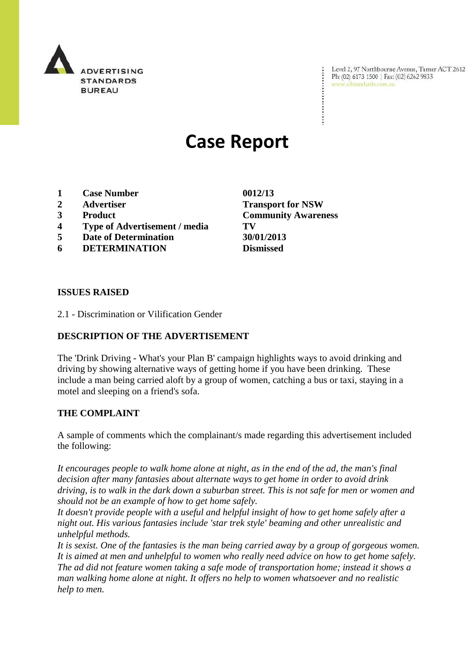

Level 2, 97 Northbourne Avenue, Turner ACT 2612 Ph: (02) 6173 1500 | Fax: (02) 6262 9833 www.adstandards.com.au

# **Case Report**

- **1 Case Number 0012/13**
- 
- 
- **4 Type of Advertisement / media TV**
- **5 Date of Determination 30/01/2013**
- **6 DETERMINATION Dismissed**

**ISSUES RAISED**

2.1 - Discrimination or Vilification Gender

## **DESCRIPTION OF THE ADVERTISEMENT**

The 'Drink Driving - What's your Plan B' campaign highlights ways to avoid drinking and driving by showing alternative ways of getting home if you have been drinking. These include a man being carried aloft by a group of women, catching a bus or taxi, staying in a motel and sleeping on a friend's sofa.

### **THE COMPLAINT**

A sample of comments which the complainant/s made regarding this advertisement included the following:

*It encourages people to walk home alone at night, as in the end of the ad, the man's final decision after many fantasies about alternate ways to get home in order to avoid drink driving, is to walk in the dark down a suburban street. This is not safe for men or women and should not be an example of how to get home safely.*

*It doesn't provide people with a useful and helpful insight of how to get home safely after a night out. His various fantasies include 'star trek style' beaming and other unrealistic and unhelpful methods.*

*It is sexist. One of the fantasies is the man being carried away by a group of gorgeous women. It is aimed at men and unhelpful to women who really need advice on how to get home safely. The ad did not feature women taking a safe mode of transportation home; instead it shows a man walking home alone at night. It offers no help to women whatsoever and no realistic help to men.*

**2 Advertiser Transport for NSW 3 Product Community Awareness**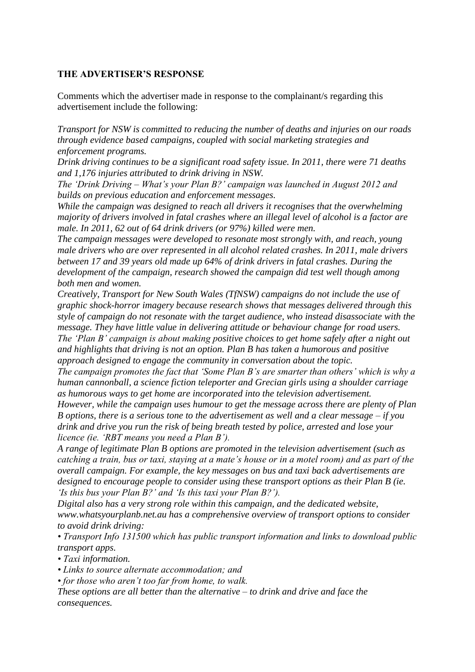#### **THE ADVERTISER'S RESPONSE**

Comments which the advertiser made in response to the complainant/s regarding this advertisement include the following:

*Transport for NSW is committed to reducing the number of deaths and injuries on our roads through evidence based campaigns, coupled with social marketing strategies and enforcement programs.*

*Drink driving continues to be a significant road safety issue. In 2011, there were 71 deaths and 1,176 injuries attributed to drink driving in NSW.*

*The 'Drink Driving – What's your Plan B?' campaign was launched in August 2012 and builds on previous education and enforcement messages.*

*While the campaign was designed to reach all drivers it recognises that the overwhelming majority of drivers involved in fatal crashes where an illegal level of alcohol is a factor are male. In 2011, 62 out of 64 drink drivers (or 97%) killed were men.*

*The campaign messages were developed to resonate most strongly with, and reach, young male drivers who are over represented in all alcohol related crashes. In 2011, male drivers between 17 and 39 years old made up 64% of drink drivers in fatal crashes. During the development of the campaign, research showed the campaign did test well though among both men and women.*

*Creatively, Transport for New South Wales (TfNSW) campaigns do not include the use of graphic shock-horror imagery because research shows that messages delivered through this style of campaign do not resonate with the target audience, who instead disassociate with the message. They have little value in delivering attitude or behaviour change for road users. The 'Plan B' campaign is about making positive choices to get home safely after a night out and highlights that driving is not an option. Plan B has taken a humorous and positive approach designed to engage the community in conversation about the topic.*

*The campaign promotes the fact that 'Some Plan B's are smarter than others' which is why a human cannonball, a science fiction teleporter and Grecian girls using a shoulder carriage as humorous ways to get home are incorporated into the television advertisement.*

*However, while the campaign uses humour to get the message across there are plenty of Plan B options, there is a serious tone to the advertisement as well and a clear message – if you drink and drive you run the risk of being breath tested by police, arrested and lose your licence (ie. 'RBT means you need a Plan B').*

*A range of legitimate Plan B options are promoted in the television advertisement (such as catching a train, bus or taxi, staying at a mate's house or in a motel room) and as part of the overall campaign. For example, the key messages on bus and taxi back advertisements are designed to encourage people to consider using these transport options as their Plan B (ie. 'Is this bus your Plan B?' and 'Is this taxi your Plan B?').*

*Digital also has a very strong role within this campaign, and the dedicated website, www.whatsyourplanb.net.au has a comprehensive overview of transport options to consider to avoid drink driving:*

*• Transport Info 131500 which has public transport information and links to download public transport apps.*

*• Taxi information.*

*• Links to source alternate accommodation; and*

*• for those who aren't too far from home, to walk.*

*These options are all better than the alternative – to drink and drive and face the consequences.*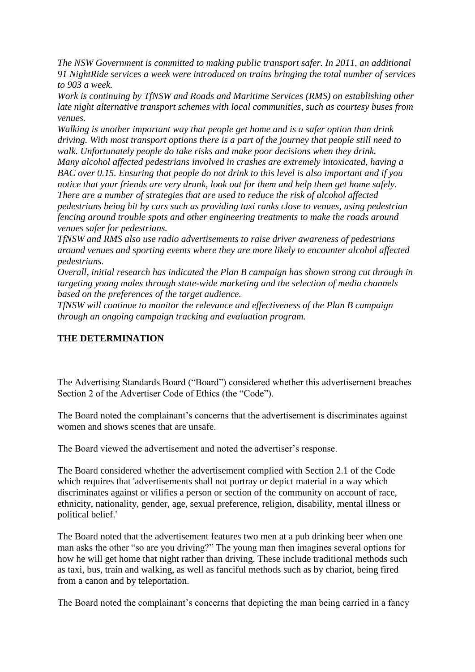*The NSW Government is committed to making public transport safer. In 2011, an additional 91 NightRide services a week were introduced on trains bringing the total number of services to 903 a week.*

*Work is continuing by TfNSW and Roads and Maritime Services (RMS) on establishing other late night alternative transport schemes with local communities, such as courtesy buses from venues.*

*Walking is another important way that people get home and is a safer option than drink driving. With most transport options there is a part of the journey that people still need to walk. Unfortunately people do take risks and make poor decisions when they drink.*

*Many alcohol affected pedestrians involved in crashes are extremely intoxicated, having a BAC over 0.15. Ensuring that people do not drink to this level is also important and if you notice that your friends are very drunk, look out for them and help them get home safely. There are a number of strategies that are used to reduce the risk of alcohol affected pedestrians being hit by cars such as providing taxi ranks close to venues, using pedestrian fencing around trouble spots and other engineering treatments to make the roads around venues safer for pedestrians.*

*TfNSW and RMS also use radio advertisements to raise driver awareness of pedestrians around venues and sporting events where they are more likely to encounter alcohol affected pedestrians.*

*Overall, initial research has indicated the Plan B campaign has shown strong cut through in targeting young males through state-wide marketing and the selection of media channels based on the preferences of the target audience.*

*TfNSW will continue to monitor the relevance and effectiveness of the Plan B campaign through an ongoing campaign tracking and evaluation program.*

# **THE DETERMINATION**

The Advertising Standards Board ("Board") considered whether this advertisement breaches Section 2 of the Advertiser Code of Ethics (the "Code").

The Board noted the complainant's concerns that the advertisement is discriminates against women and shows scenes that are unsafe.

The Board viewed the advertisement and noted the advertiser's response.

The Board considered whether the advertisement complied with Section 2.1 of the Code which requires that 'advertisements shall not portray or depict material in a way which discriminates against or vilifies a person or section of the community on account of race, ethnicity, nationality, gender, age, sexual preference, religion, disability, mental illness or political belief.'

The Board noted that the advertisement features two men at a pub drinking beer when one man asks the other "so are you driving?" The young man then imagines several options for how he will get home that night rather than driving. These include traditional methods such as taxi, bus, train and walking, as well as fanciful methods such as by chariot, being fired from a canon and by teleportation.

The Board noted the complainant's concerns that depicting the man being carried in a fancy